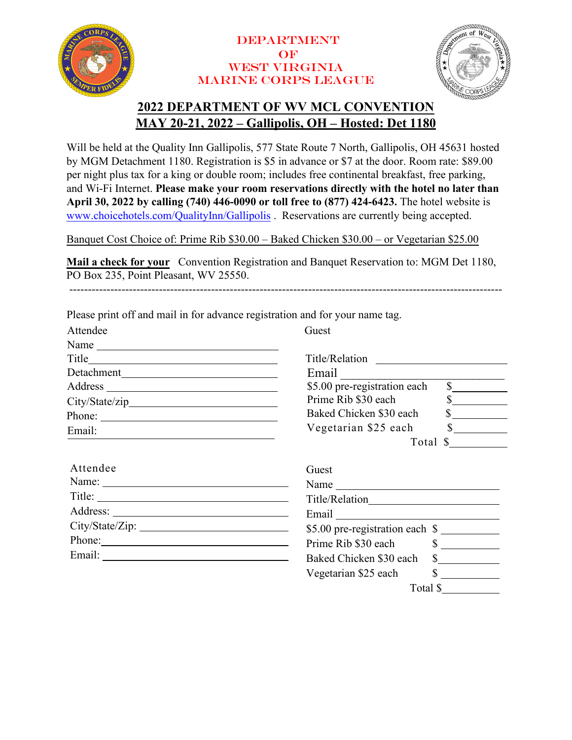

## **DEPARTMENT**  $OF$ West Virginia Marine Corps League



Total \$

# **2022 DEPARTMENT OF WV MCL CONVENTION MAY 20-21, 2022 – Gallipolis, OH – Hosted: Det 1180**

Will be held at the Quality Inn Gallipolis, 577 State Route 7 North, Gallipolis, OH 45631 hosted by MGM Detachment 1180. Registration is \$5 in advance or \$7 at the door. Room rate: \$89.00 per night plus tax for a king or double room; includes free continental breakfast, free parking, and Wi-Fi Internet. **Please make your room reservations directly with the hotel no later than April 30, 2022 by calling (740) 446-0090 or toll free to (877) 424-6423.** The hotel website is [www.choicehotels.com/QualityInn/Gallipolis](http://www.choicehotels.com/QualityInn/Gallipolis) . Reservations are currently being accepted.

Banquet Cost Choice of: Prime Rib \$30.00 – Baked Chicken \$30.00 – or Vegetarian \$25.00

**Mail a check for your** Convention Registration and Banquet Reservation to: MGM Det 1180, PO Box 235, Point Pleasant, WV 25550.

--------------------------------------------------------------------------------------------------------------------

| Attendee                                                                | Guest                                                                                                                                                                                                                          |
|-------------------------------------------------------------------------|--------------------------------------------------------------------------------------------------------------------------------------------------------------------------------------------------------------------------------|
| Name $\frac{1}{\sqrt{1-\frac{1}{2}}\left\vert \frac{1}{2} \right\vert}$ |                                                                                                                                                                                                                                |
|                                                                         |                                                                                                                                                                                                                                |
|                                                                         | Email                                                                                                                                                                                                                          |
|                                                                         | \$5.00 pre-registration each<br>$\overline{\text{S}}$                                                                                                                                                                          |
|                                                                         | Prime Rib \$30 each                                                                                                                                                                                                            |
|                                                                         | $\frac{1}{2}$<br>Baked Chicken \$30 each                                                                                                                                                                                       |
| Email:                                                                  | $\frac{\sqrt{2}}{2}$<br>Vegetarian \$25 each                                                                                                                                                                                   |
|                                                                         | Total \$                                                                                                                                                                                                                       |
|                                                                         |                                                                                                                                                                                                                                |
| Attendee                                                                | Guest                                                                                                                                                                                                                          |
| Name:                                                                   | Name                                                                                                                                                                                                                           |
|                                                                         |                                                                                                                                                                                                                                |
|                                                                         | Email Property of the Contract of the Contract of the Contract of the Contract of the Contract of the Contract of the Contract of the Contract of the Contract of the Contract of the Contract of the Contract of the Contract |
| City/State/Zip:                                                         | \$5.00 pre-registration each \$                                                                                                                                                                                                |
|                                                                         | $\frac{\text{S}}{\text{S}}$<br>Prime Rib \$30 each                                                                                                                                                                             |
|                                                                         | Baked Chicken \$30 each<br>$\mathcal{S}$                                                                                                                                                                                       |
|                                                                         | $\frac{\text{S}}{\text{S}}$<br>Vegetarian \$25 each                                                                                                                                                                            |

Please print off and mail in for advance registration and for your name tag.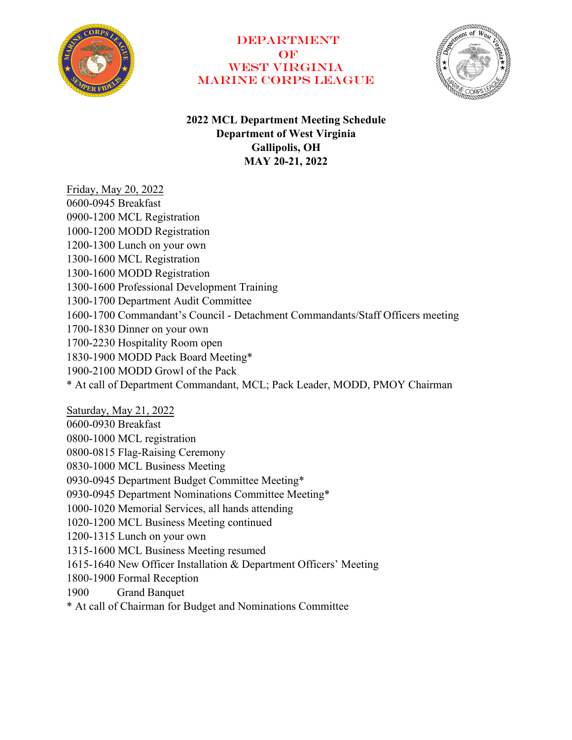

# **DEPARTMENT**  $OF$ WEST VIRGINIA Marine Corps League



# **2022 MCL Department Meeting Schedule Department of West Virginia Gallipolis, OH MAY 20-21, 2022**

Friday, May 20, 2022 0600-0945 Breakfast 0900-1200 MCL Registration 1000-1200 MODD Registration 1200-1300 Lunch on your own 1300-1600 MCL Registration 1300-1600 MODD Registration 1300-1600 Professional Development Training 1300-1700 Department Audit Committee 1600-1700 Commandant's Council - Detachment Commandants/Staff Officers meeting 1700-1830 Dinner on your own 1700-2230 Hospitality Room open 1830-1900 MODD Pack Board Meeting\* 1900-2100 MODD Growl of the Pack \* At call of Department Commandant, MCL; Pack Leader, MODD, PMOY Chairman Saturday, May 21, 2022 0600-0930 Breakfast 0800-1000 MCL registration 0800-0815 Flag-Raising Ceremony 0830-1000 MCL Business Meeting

0930-0945 Department Budget Committee Meeting\*

0930-0945 Department Nominations Committee Meeting\*

1000-1020 Memorial Services, all hands attending

1020-1200 MCL Business Meeting continued

1200-1315 Lunch on your own

1315-1600 MCL Business Meeting resumed

1615-1640 New Officer Installation & Department Officers' Meeting

1800-1900 Formal Reception

1900 Grand Banquet

\* At call of Chairman for Budget and Nominations Committee